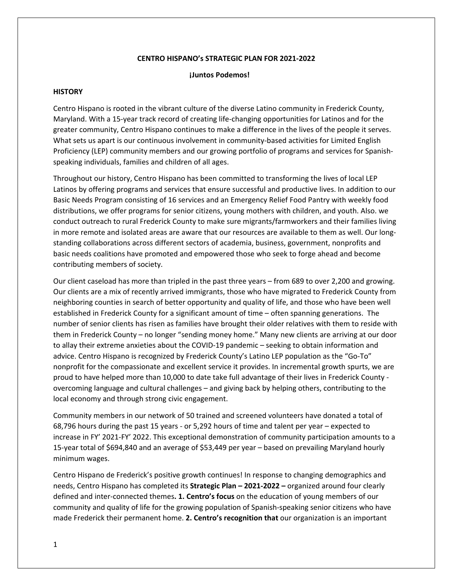#### **CENTRO HISPANO's STRATEGIC PLAN FOR 2021‐2022**

#### **¡Juntos Podemos!**

#### **HISTORY**

Centro Hispano is rooted in the vibrant culture of the diverse Latino community in Frederick County, Maryland. With a 15‐year track record of creating life‐changing opportunities for Latinos and for the greater community, Centro Hispano continues to make a difference in the lives of the people it serves. What sets us apart is our continuous involvement in community-based activities for Limited English Proficiency (LEP) community members and our growing portfolio of programs and services for Spanish‐ speaking individuals, families and children of all ages.

Throughout our history, Centro Hispano has been committed to transforming the lives of local LEP Latinos by offering programs and services that ensure successful and productive lives. In addition to our Basic Needs Program consisting of 16 services and an Emergency Relief Food Pantry with weekly food distributions, we offer programs for senior citizens, young mothers with children, and youth. Also. we conduct outreach to rural Frederick County to make sure migrants/farmworkers and their families living in more remote and isolated areas are aware that our resources are available to them as well. Our longstanding collaborations across different sectors of academia, business, government, nonprofits and basic needs coalitions have promoted and empowered those who seek to forge ahead and become contributing members of society.

Our client caseload has more than tripled in the past three years – from 689 to over 2,200 and growing. Our clients are a mix of recently arrived immigrants, those who have migrated to Frederick County from neighboring counties in search of better opportunity and quality of life, and those who have been well established in Frederick County for a significant amount of time – often spanning generations. The number of senior clients has risen as families have brought their older relatives with them to reside with them in Frederick County – no longer "sending money home." Many new clients are arriving at our door to allay their extreme anxieties about the COVID-19 pandemic – seeking to obtain information and advice. Centro Hispano is recognized by Frederick County's Latino LEP population as the "Go-To" nonprofit for the compassionate and excellent service it provides. In incremental growth spurts, we are proud to have helped more than 10,000 to date take full advantage of their lives in Frederick County ‐ overcoming language and cultural challenges – and giving back by helping others, contributing to the local economy and through strong civic engagement.

Community members in our network of 50 trained and screened volunteers have donated a total of 68,796 hours during the past 15 years ‐ or 5,292 hours of time and talent per year – expected to increase in FY' 2021‐FY' 2022. This exceptional demonstration of community participation amounts to a 15‐year total of \$694,840 and an average of \$53,449 per year – based on prevailing Maryland hourly minimum wages.

Centro Hispano de Frederick's positive growth continues! In response to changing demographics and needs, Centro Hispano has completed its **Strategic Plan – 2021‐2022 –** organized around four clearly defined and inter‐connected themes**. 1. Centro's focus** on the education of young members of our community and quality of life for the growing population of Spanish‐speaking senior citizens who have made Frederick their permanent home. **2. Centro's recognition that** our organization is an important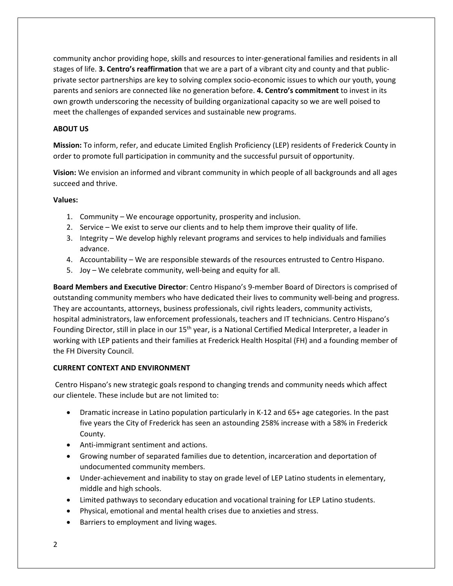community anchor providing hope, skills and resources to inter‐generational families and residents in all stages of life. **3. Centro's reaffirmation** that we are a part of a vibrant city and county and that public‐ private sector partnerships are key to solving complex socio‐economic issues to which our youth, young parents and seniors are connected like no generation before. **4. Centro's commitment** to invest in its own growth underscoring the necessity of building organizational capacity so we are well poised to meet the challenges of expanded services and sustainable new programs.

# **ABOUT US**

**Mission:** To inform, refer, and educate Limited English Proficiency (LEP) residents of Frederick County in order to promote full participation in community and the successful pursuit of opportunity.

**Vision:** We envision an informed and vibrant community in which people of all backgrounds and all ages succeed and thrive.

### **Values:**

- 1. Community We encourage opportunity, prosperity and inclusion.
- 2. Service We exist to serve our clients and to help them improve their quality of life.
- 3. Integrity We develop highly relevant programs and services to help individuals and families advance.
- 4. Accountability We are responsible stewards of the resources entrusted to Centro Hispano.
- 5. Joy We celebrate community, well-being and equity for all.

**Board Members and Executive Director**: Centro Hispano's 9‐member Board of Directors is comprised of outstanding community members who have dedicated their lives to community well‐being and progress. They are accountants, attorneys, business professionals, civil rights leaders, community activists, hospital administrators, law enforcement professionals, teachers and IT technicians. Centro Hispano's Founding Director, still in place in our 15<sup>th</sup> year, is a National Certified Medical Interpreter, a leader in working with LEP patients and their families at Frederick Health Hospital (FH) and a founding member of the FH Diversity Council.

### **CURRENT CONTEXT AND ENVIRONMENT**

Centro Hispano's new strategic goals respond to changing trends and community needs which affect our clientele. These include but are not limited to:

- Dramatic increase in Latino population particularly in K-12 and 65+ age categories. In the past five years the City of Frederick has seen an astounding 258% increase with a 58% in Frederick County.
- Anti-immigrant sentiment and actions.
- Growing number of separated families due to detention, incarceration and deportation of undocumented community members.
- Under-achievement and inability to stay on grade level of LEP Latino students in elementary, middle and high schools.
- Limited pathways to secondary education and vocational training for LEP Latino students.
- Physical, emotional and mental health crises due to anxieties and stress.
- Barriers to employment and living wages.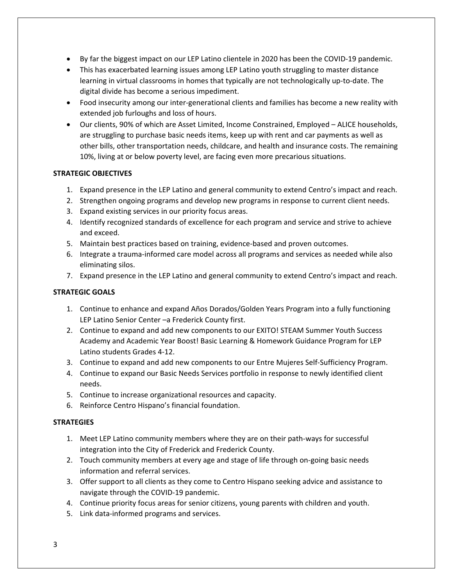- By far the biggest impact on our LEP Latino clientele in 2020 has been the COVID‐19 pandemic.
- This has exacerbated learning issues among LEP Latino youth struggling to master distance learning in virtual classrooms in homes that typically are not technologically up-to-date. The digital divide has become a serious impediment.
- Food insecurity among our inter-generational clients and families has become a new reality with extended job furloughs and loss of hours.
- Our clients, 90% of which are Asset Limited, Income Constrained, Employed ALICE households, are struggling to purchase basic needs items, keep up with rent and car payments as well as other bills, other transportation needs, childcare, and health and insurance costs. The remaining 10%, living at or below poverty level, are facing even more precarious situations.

### **STRATEGIC OBJECTIVES**

- 1. Expand presence in the LEP Latino and general community to extend Centro's impact and reach.
- 2. Strengthen ongoing programs and develop new programs in response to current client needs.
- 3. Expand existing services in our priority focus areas.
- 4. Identify recognized standards of excellence for each program and service and strive to achieve and exceed.
- 5. Maintain best practices based on training, evidence-based and proven outcomes.
- 6. Integrate a trauma‐informed care model across all programs and services as needed while also eliminating silos.
- 7. Expand presence in the LEP Latino and general community to extend Centro's impact and reach.

# **STRATEGIC GOALS**

- 1. Continue to enhance and expand Años Dorados/Golden Years Program into a fully functioning LEP Latino Senior Center –a Frederick County first.
- 2. Continue to expand and add new components to our EXITO! STEAM Summer Youth Success Academy and Academic Year Boost! Basic Learning & Homework Guidance Program for LEP Latino students Grades 4‐12.
- 3. Continue to expand and add new components to our Entre Mujeres Self‐Sufficiency Program.
- 4. Continue to expand our Basic Needs Services portfolio in response to newly identified client needs.
- 5. Continue to increase organizational resources and capacity.
- 6. Reinforce Centro Hispano's financial foundation.

### **STRATEGIES**

- 1. Meet LEP Latino community members where they are on their path-ways for successful integration into the City of Frederick and Frederick County.
- 2. Touch community members at every age and stage of life through on‐going basic needs information and referral services.
- 3. Offer support to all clients as they come to Centro Hispano seeking advice and assistance to navigate through the COVID‐19 pandemic.
- 4. Continue priority focus areas for senior citizens, young parents with children and youth.
- 5. Link data‐informed programs and services.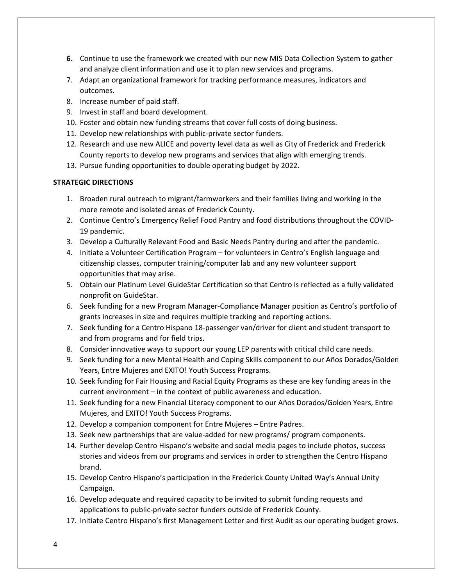- **6.** Continue to use the framework we created with our new MIS Data Collection System to gather and analyze client information and use it to plan new services and programs.
- 7. Adapt an organizational framework for tracking performance measures, indicators and outcomes.
- 8. Increase number of paid staff.
- 9. Invest in staff and board development.
- 10. Foster and obtain new funding streams that cover full costs of doing business.
- 11. Develop new relationships with public-private sector funders.
- 12. Research and use new ALICE and poverty level data as well as City of Frederick and Frederick County reports to develop new programs and services that align with emerging trends.
- 13. Pursue funding opportunities to double operating budget by 2022.

### **STRATEGIC DIRECTIONS**

- 1. Broaden rural outreach to migrant/farmworkers and their families living and working in the more remote and isolated areas of Frederick County.
- 2. Continue Centro's Emergency Relief Food Pantry and food distributions throughout the COVID‐ 19 pandemic.
- 3. Develop a Culturally Relevant Food and Basic Needs Pantry during and after the pandemic.
- 4. Initiate a Volunteer Certification Program for volunteers in Centro's English language and citizenship classes, computer training/computer lab and any new volunteer support opportunities that may arise.
- 5. Obtain our Platinum Level GuideStar Certification so that Centro is reflected as a fully validated nonprofit on GuideStar.
- 6. Seek funding for a new Program Manager‐Compliance Manager position as Centro's portfolio of grants increases in size and requires multiple tracking and reporting actions.
- 7. Seek funding for a Centro Hispano 18‐passenger van/driver for client and student transport to and from programs and for field trips.
- 8. Consider innovative ways to support our young LEP parents with critical child care needs.
- 9. Seek funding for a new Mental Health and Coping Skills component to our Años Dorados/Golden Years, Entre Mujeres and EXITO! Youth Success Programs.
- 10. Seek funding for Fair Housing and Racial Equity Programs as these are key funding areas in the current environment – in the context of public awareness and education.
- 11. Seek funding for a new Financial Literacy component to our Años Dorados/Golden Years, Entre Mujeres, and EXITO! Youth Success Programs.
- 12. Develop a companion component for Entre Mujeres Entre Padres.
- 13. Seek new partnerships that are value‐added for new programs/ program components.
- 14. Further develop Centro Hispano's website and social media pages to include photos, success stories and videos from our programs and services in order to strengthen the Centro Hispano brand.
- 15. Develop Centro Hispano's participation in the Frederick County United Way's Annual Unity Campaign.
- 16. Develop adequate and required capacity to be invited to submit funding requests and applications to public‐private sector funders outside of Frederick County.
- 17. Initiate Centro Hispano's first Management Letter and first Audit as our operating budget grows.